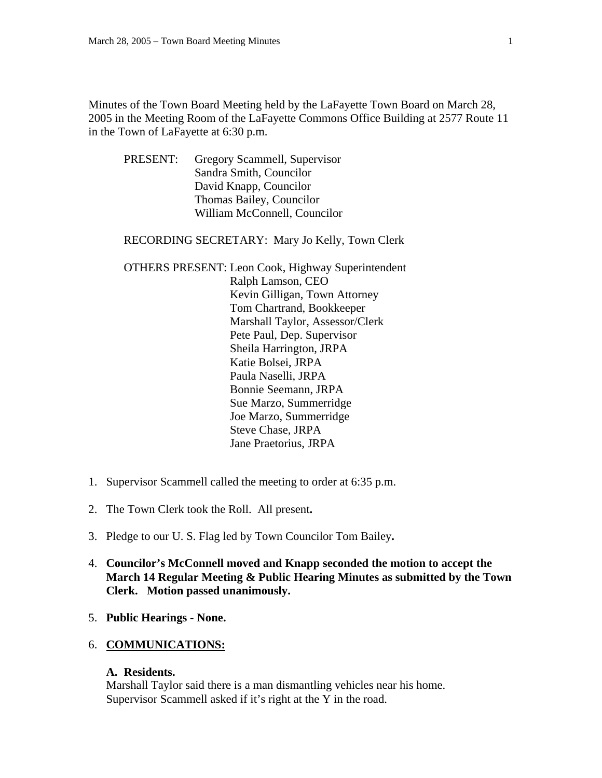Minutes of the Town Board Meeting held by the LaFayette Town Board on March 28, 2005 in the Meeting Room of the LaFayette Commons Office Building at 2577 Route 11 in the Town of LaFayette at 6:30 p.m.

 PRESENT: Gregory Scammell, Supervisor Sandra Smith, Councilor David Knapp, Councilor Thomas Bailey, Councilor William McConnell, Councilor

RECORDING SECRETARY: Mary Jo Kelly, Town Clerk

- OTHERS PRESENT: Leon Cook, Highway Superintendent Ralph Lamson, CEO Kevin Gilligan, Town Attorney Tom Chartrand, Bookkeeper Marshall Taylor, Assessor/Clerk Pete Paul, Dep. Supervisor Sheila Harrington, JRPA Katie Bolsei, JRPA Paula Naselli, JRPA Bonnie Seemann, JRPA Sue Marzo, Summerridge Joe Marzo, Summerridge Steve Chase, JRPA Jane Praetorius, JRPA
- 1. Supervisor Scammell called the meeting to order at 6:35 p.m.
- 2. The Town Clerk took the Roll. All present**.**
- 3. Pledge to our U. S. Flag led by Town Councilor Tom Bailey**.**
- 4. **Councilor's McConnell moved and Knapp seconded the motion to accept the March 14 Regular Meeting & Public Hearing Minutes as submitted by the Town Clerk. Motion passed unanimously.**
- 5. **Public Hearings None.**

### 6. **COMMUNICATIONS:**

### **A. Residents.**

Marshall Taylor said there is a man dismantling vehicles near his home. Supervisor Scammell asked if it's right at the Y in the road.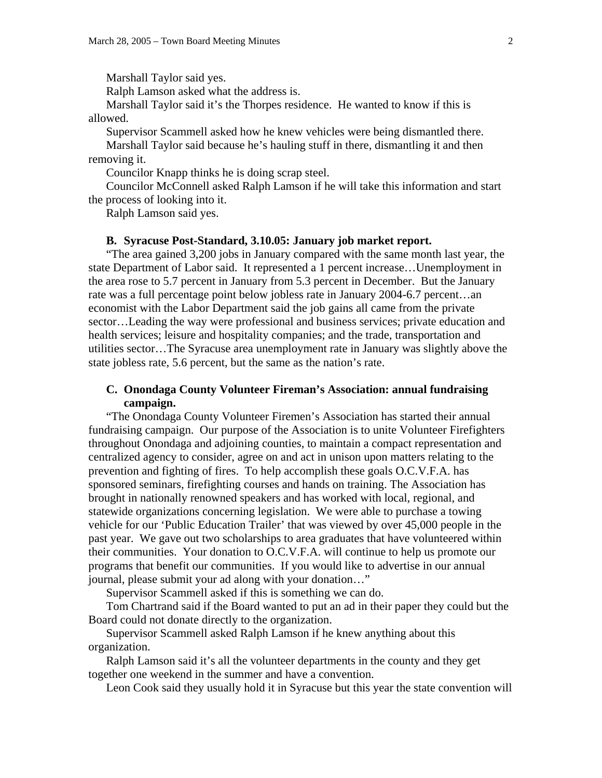Marshall Taylor said yes.

Ralph Lamson asked what the address is.

 Marshall Taylor said it's the Thorpes residence. He wanted to know if this is allowed.

 Supervisor Scammell asked how he knew vehicles were being dismantled there. Marshall Taylor said because he's hauling stuff in there, dismantling it and then removing it.

Councilor Knapp thinks he is doing scrap steel.

 Councilor McConnell asked Ralph Lamson if he will take this information and start the process of looking into it.

Ralph Lamson said yes.

### **B. Syracuse Post-Standard, 3.10.05: January job market report.**

"The area gained 3,200 jobs in January compared with the same month last year, the state Department of Labor said. It represented a 1 percent increase…Unemployment in the area rose to 5.7 percent in January from 5.3 percent in December. But the January rate was a full percentage point below jobless rate in January 2004-6.7 percent…an economist with the Labor Department said the job gains all came from the private sector…Leading the way were professional and business services; private education and health services; leisure and hospitality companies; and the trade, transportation and utilities sector…The Syracuse area unemployment rate in January was slightly above the state jobless rate, 5.6 percent, but the same as the nation's rate.

### **C. Onondaga County Volunteer Fireman's Association: annual fundraising campaign.**

 "The Onondaga County Volunteer Firemen's Association has started their annual fundraising campaign. Our purpose of the Association is to unite Volunteer Firefighters throughout Onondaga and adjoining counties, to maintain a compact representation and centralized agency to consider, agree on and act in unison upon matters relating to the prevention and fighting of fires. To help accomplish these goals O.C.V.F.A. has sponsored seminars, firefighting courses and hands on training. The Association has brought in nationally renowned speakers and has worked with local, regional, and statewide organizations concerning legislation. We were able to purchase a towing vehicle for our 'Public Education Trailer' that was viewed by over 45,000 people in the past year. We gave out two scholarships to area graduates that have volunteered within their communities. Your donation to O.C.V.F.A. will continue to help us promote our programs that benefit our communities. If you would like to advertise in our annual journal, please submit your ad along with your donation…"

Supervisor Scammell asked if this is something we can do.

 Tom Chartrand said if the Board wanted to put an ad in their paper they could but the Board could not donate directly to the organization.

 Supervisor Scammell asked Ralph Lamson if he knew anything about this organization.

 Ralph Lamson said it's all the volunteer departments in the county and they get together one weekend in the summer and have a convention.

Leon Cook said they usually hold it in Syracuse but this year the state convention will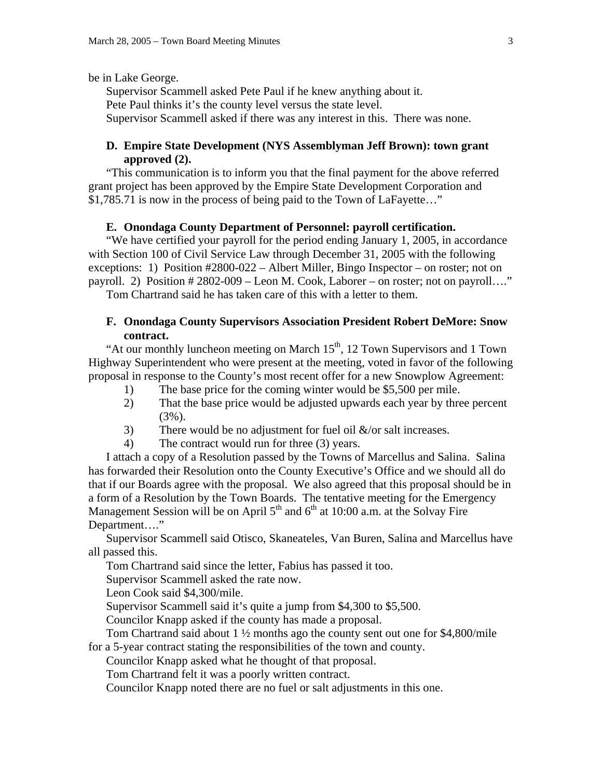be in Lake George.

 Supervisor Scammell asked Pete Paul if he knew anything about it. Pete Paul thinks it's the county level versus the state level. Supervisor Scammell asked if there was any interest in this. There was none.

# **D. Empire State Development (NYS Assemblyman Jeff Brown): town grant approved (2).**

 "This communication is to inform you that the final payment for the above referred grant project has been approved by the Empire State Development Corporation and \$1,785.71 is now in the process of being paid to the Town of LaFayette…"

### **E. Onondaga County Department of Personnel: payroll certification.**

 "We have certified your payroll for the period ending January 1, 2005, in accordance with Section 100 of Civil Service Law through December 31, 2005 with the following exceptions: 1) Position #2800-022 – Albert Miller, Bingo Inspector – on roster; not on payroll. 2) Position # 2802-009 – Leon M. Cook, Laborer – on roster; not on payroll…."

Tom Chartrand said he has taken care of this with a letter to them.

### **F. Onondaga County Supervisors Association President Robert DeMore: Snow contract.**

"At our monthly luncheon meeting on March  $15<sup>th</sup>$ , 12 Town Supervisors and 1 Town Highway Superintendent who were present at the meeting, voted in favor of the following proposal in response to the County's most recent offer for a new Snowplow Agreement:

- 1) The base price for the coming winter would be \$5,500 per mile.
- 2) That the base price would be adjusted upwards each year by three percent (3%).
- 3) There would be no adjustment for fuel oil  $\&$ /or salt increases.
- 4) The contract would run for three (3) years.

 I attach a copy of a Resolution passed by the Towns of Marcellus and Salina. Salina has forwarded their Resolution onto the County Executive's Office and we should all do that if our Boards agree with the proposal. We also agreed that this proposal should be in a form of a Resolution by the Town Boards. The tentative meeting for the Emergency Management Session will be on April  $5<sup>th</sup>$  and  $6<sup>th</sup>$  at 10:00 a.m. at the Solvay Fire Department…."

 Supervisor Scammell said Otisco, Skaneateles, Van Buren, Salina and Marcellus have all passed this.

Tom Chartrand said since the letter, Fabius has passed it too.

Supervisor Scammell asked the rate now.

Leon Cook said \$4,300/mile.

Supervisor Scammell said it's quite a jump from \$4,300 to \$5,500.

Councilor Knapp asked if the county has made a proposal.

Tom Chartrand said about 1 ½ months ago the county sent out one for \$4,800/mile for a 5-year contract stating the responsibilities of the town and county.

Councilor Knapp asked what he thought of that proposal.

Tom Chartrand felt it was a poorly written contract.

Councilor Knapp noted there are no fuel or salt adjustments in this one.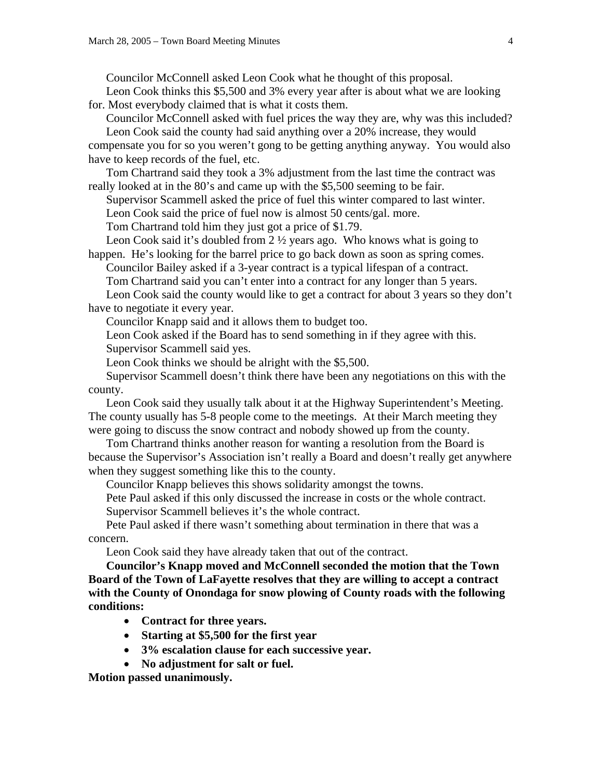Councilor McConnell asked Leon Cook what he thought of this proposal. Leon Cook thinks this \$5,500 and 3% every year after is about what we are looking

for. Most everybody claimed that is what it costs them.

Councilor McConnell asked with fuel prices the way they are, why was this included? Leon Cook said the county had said anything over a 20% increase, they would

compensate you for so you weren't gong to be getting anything anyway. You would also have to keep records of the fuel, etc.

Tom Chartrand said they took a 3% adjustment from the last time the contract was really looked at in the 80's and came up with the \$5,500 seeming to be fair.

Supervisor Scammell asked the price of fuel this winter compared to last winter.

Leon Cook said the price of fuel now is almost 50 cents/gal. more.

Tom Chartrand told him they just got a price of \$1.79.

Leon Cook said it's doubled from 2 ½ years ago. Who knows what is going to happen. He's looking for the barrel price to go back down as soon as spring comes.

Councilor Bailey asked if a 3-year contract is a typical lifespan of a contract.

Tom Chartrand said you can't enter into a contract for any longer than 5 years.

Leon Cook said the county would like to get a contract for about 3 years so they don't have to negotiate it every year.

Councilor Knapp said and it allows them to budget too.

Leon Cook asked if the Board has to send something in if they agree with this. Supervisor Scammell said yes.

Leon Cook thinks we should be alright with the \$5,500.

Supervisor Scammell doesn't think there have been any negotiations on this with the county.

Leon Cook said they usually talk about it at the Highway Superintendent's Meeting. The county usually has 5-8 people come to the meetings. At their March meeting they were going to discuss the snow contract and nobody showed up from the county.

Tom Chartrand thinks another reason for wanting a resolution from the Board is because the Supervisor's Association isn't really a Board and doesn't really get anywhere when they suggest something like this to the county.

Councilor Knapp believes this shows solidarity amongst the towns.

Pete Paul asked if this only discussed the increase in costs or the whole contract. Supervisor Scammell believes it's the whole contract.

Pete Paul asked if there wasn't something about termination in there that was a concern.

Leon Cook said they have already taken that out of the contract.

**Councilor's Knapp moved and McConnell seconded the motion that the Town Board of the Town of LaFayette resolves that they are willing to accept a contract with the County of Onondaga for snow plowing of County roads with the following conditions:** 

- **Contract for three years.**
- **Starting at \$5,500 for the first year**
- **3% escalation clause for each successive year.**
- **No adjustment for salt or fuel.**

**Motion passed unanimously.**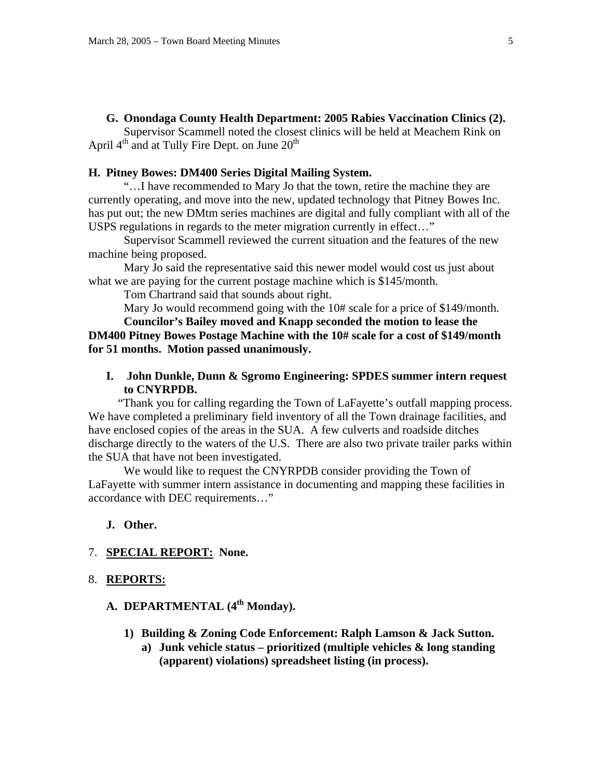#### **G. Onondaga County Health Department: 2005 Rabies Vaccination Clinics (2).**

 Supervisor Scammell noted the closest clinics will be held at Meachem Rink on April  $4<sup>th</sup>$  and at Tully Fire Dept. on June  $20<sup>th</sup>$ 

## **H. Pitney Bowes: DM400 Series Digital Mailing System.**

"…I have recommended to Mary Jo that the town, retire the machine they are currently operating, and move into the new, updated technology that Pitney Bowes Inc. has put out; the new DMtm series machines are digital and fully compliant with all of the USPS regulations in regards to the meter migration currently in effect…"

 Supervisor Scammell reviewed the current situation and the features of the new machine being proposed.

 Mary Jo said the representative said this newer model would cost us just about what we are paying for the current postage machine which is \$145/month.

Tom Chartrand said that sounds about right.

Mary Jo would recommend going with the 10# scale for a price of \$149/month.

**Councilor's Bailey moved and Knapp seconded the motion to lease the DM400 Pitney Bowes Postage Machine with the 10# scale for a cost of \$149/month for 51 months. Motion passed unanimously.** 

**I. John Dunkle, Dunn & Sgromo Engineering: SPDES summer intern request to CNYRPDB.** 

 "Thank you for calling regarding the Town of LaFayette's outfall mapping process. We have completed a preliminary field inventory of all the Town drainage facilities, and have enclosed copies of the areas in the SUA. A few culverts and roadside ditches discharge directly to the waters of the U.S. There are also two private trailer parks within the SUA that have not been investigated.

 We would like to request the CNYRPDB consider providing the Town of LaFayette with summer intern assistance in documenting and mapping these facilities in accordance with DEC requirements…"

### **J. Other.**

### 7. **SPECIAL REPORT: None.**

### 8. **REPORTS:**

# A. **DEPARTMENTAL** (4<sup>th</sup> Monday).

- **1) Building & Zoning Code Enforcement: Ralph Lamson & Jack Sutton.** 
	- **a) Junk vehicle status prioritized (multiple vehicles & long standing (apparent) violations) spreadsheet listing (in process).**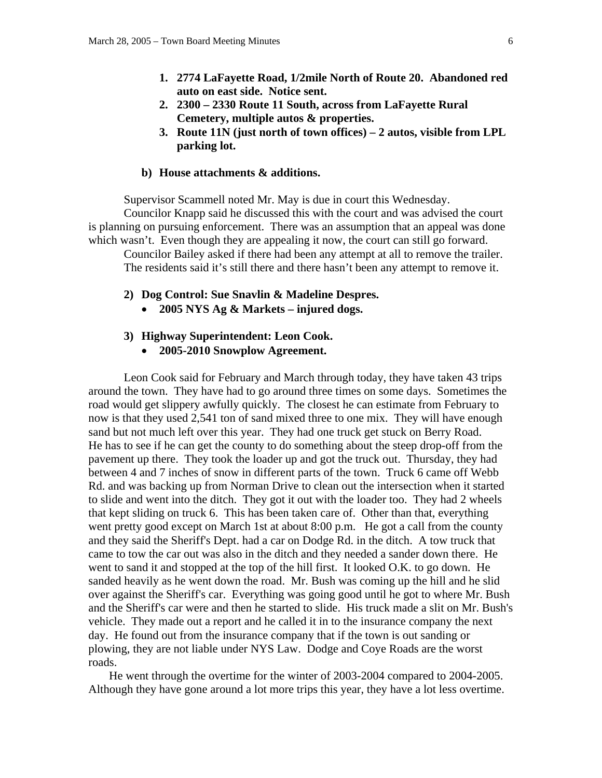- **1. 2774 LaFayette Road, 1/2mile North of Route 20. Abandoned red auto on east side. Notice sent.**
- **2. 2300 2330 Route 11 South, across from LaFayette Rural Cemetery, multiple autos & properties.**
- **3. Route 11N (just north of town offices) 2 autos, visible from LPL parking lot.**

### **b) House attachments & additions.**

Supervisor Scammell noted Mr. May is due in court this Wednesday.

 Councilor Knapp said he discussed this with the court and was advised the court is planning on pursuing enforcement. There was an assumption that an appeal was done which wasn't. Even though they are appealing it now, the court can still go forward.

 Councilor Bailey asked if there had been any attempt at all to remove the trailer. The residents said it's still there and there hasn't been any attempt to remove it.

- **2) Dog Control: Sue Snavlin & Madeline Despres.** 
	- **2005 NYS Ag & Markets injured dogs.**
- **3) Highway Superintendent: Leon Cook.** 
	- **2005-2010 Snowplow Agreement.**

 Leon Cook said for February and March through today, they have taken 43 trips around the town. They have had to go around three times on some days. Sometimes the road would get slippery awfully quickly. The closest he can estimate from February to now is that they used 2,541 ton of sand mixed three to one mix. They will have enough sand but not much left over this year. They had one truck get stuck on Berry Road. He has to see if he can get the county to do something about the steep drop-off from the pavement up there. They took the loader up and got the truck out. Thursday, they had between 4 and 7 inches of snow in different parts of the town. Truck 6 came off Webb Rd. and was backing up from Norman Drive to clean out the intersection when it started to slide and went into the ditch. They got it out with the loader too. They had 2 wheels that kept sliding on truck 6. This has been taken care of. Other than that, everything went pretty good except on March 1st at about 8:00 p.m. He got a call from the county and they said the Sheriff's Dept. had a car on Dodge Rd. in the ditch. A tow truck that came to tow the car out was also in the ditch and they needed a sander down there. He went to sand it and stopped at the top of the hill first. It looked O.K. to go down. He sanded heavily as he went down the road. Mr. Bush was coming up the hill and he slid over against the Sheriff's car. Everything was going good until he got to where Mr. Bush and the Sheriff's car were and then he started to slide. His truck made a slit on Mr. Bush's vehicle. They made out a report and he called it in to the insurance company the next day. He found out from the insurance company that if the town is out sanding or plowing, they are not liable under NYS Law. Dodge and Coye Roads are the worst roads.

 He went through the overtime for the winter of 2003-2004 compared to 2004-2005. Although they have gone around a lot more trips this year, they have a lot less overtime.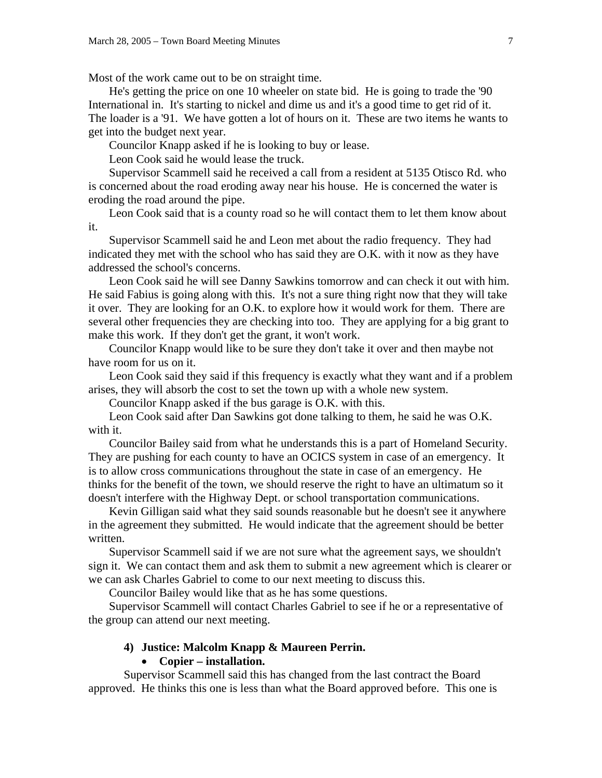Most of the work came out to be on straight time.

 He's getting the price on one 10 wheeler on state bid. He is going to trade the '90 International in. It's starting to nickel and dime us and it's a good time to get rid of it. The loader is a '91. We have gotten a lot of hours on it. These are two items he wants to get into the budget next year.

Councilor Knapp asked if he is looking to buy or lease.

Leon Cook said he would lease the truck.

 Supervisor Scammell said he received a call from a resident at 5135 Otisco Rd. who is concerned about the road eroding away near his house. He is concerned the water is eroding the road around the pipe.

 Leon Cook said that is a county road so he will contact them to let them know about it.

 Supervisor Scammell said he and Leon met about the radio frequency. They had indicated they met with the school who has said they are O.K. with it now as they have addressed the school's concerns.

 Leon Cook said he will see Danny Sawkins tomorrow and can check it out with him. He said Fabius is going along with this. It's not a sure thing right now that they will take it over. They are looking for an O.K. to explore how it would work for them. There are several other frequencies they are checking into too. They are applying for a big grant to make this work. If they don't get the grant, it won't work.

 Councilor Knapp would like to be sure they don't take it over and then maybe not have room for us on it.

 Leon Cook said they said if this frequency is exactly what they want and if a problem arises, they will absorb the cost to set the town up with a whole new system.

Councilor Knapp asked if the bus garage is O.K. with this.

 Leon Cook said after Dan Sawkins got done talking to them, he said he was O.K. with it.

 Councilor Bailey said from what he understands this is a part of Homeland Security. They are pushing for each county to have an OCICS system in case of an emergency. It is to allow cross communications throughout the state in case of an emergency. He thinks for the benefit of the town, we should reserve the right to have an ultimatum so it doesn't interfere with the Highway Dept. or school transportation communications.

 Kevin Gilligan said what they said sounds reasonable but he doesn't see it anywhere in the agreement they submitted. He would indicate that the agreement should be better written.

 Supervisor Scammell said if we are not sure what the agreement says, we shouldn't sign it. We can contact them and ask them to submit a new agreement which is clearer or we can ask Charles Gabriel to come to our next meeting to discuss this.

Councilor Bailey would like that as he has some questions.

 Supervisor Scammell will contact Charles Gabriel to see if he or a representative of the group can attend our next meeting.

# **4) Justice: Malcolm Knapp & Maureen Perrin.**

### • **Copier – installation.**

 Supervisor Scammell said this has changed from the last contract the Board approved. He thinks this one is less than what the Board approved before. This one is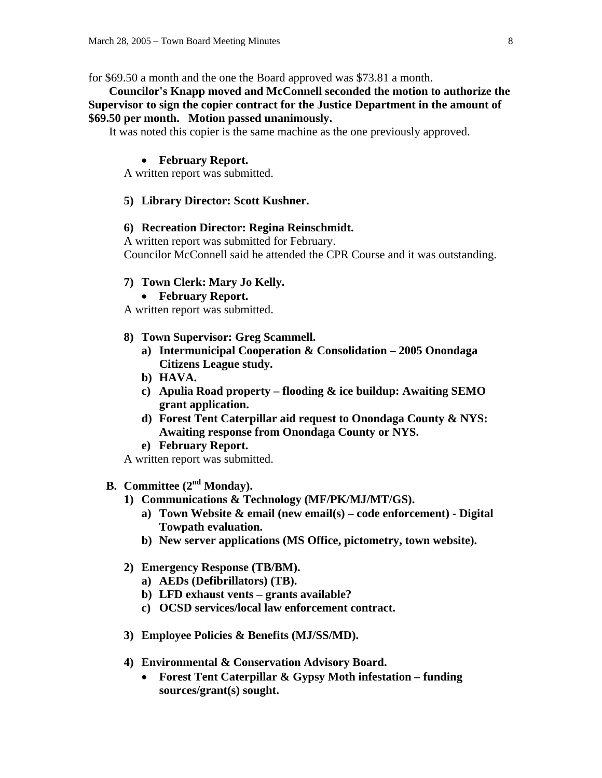for \$69.50 a month and the one the Board approved was \$73.81 a month.

 **Councilor's Knapp moved and McConnell seconded the motion to authorize the Supervisor to sign the copier contract for the Justice Department in the amount of \$69.50 per month. Motion passed unanimously.** 

It was noted this copier is the same machine as the one previously approved.

#### • **February Report.**

A written report was submitted.

### **5) Library Director: Scott Kushner.**

#### **6) Recreation Director: Regina Reinschmidt.**

A written report was submitted for February. Councilor McConnell said he attended the CPR Course and it was outstanding.

#### **7) Town Clerk: Mary Jo Kelly.**

• **February Report.** 

A written report was submitted.

- **8) Town Supervisor: Greg Scammell.** 
	- **a) Intermunicipal Cooperation & Consolidation 2005 Onondaga Citizens League study.**
	- **b) HAVA.**
	- **c) Apulia Road property flooding & ice buildup: Awaiting SEMO grant application.**
	- **d) Forest Tent Caterpillar aid request to Onondaga County & NYS: Awaiting response from Onondaga County or NYS.**
	- **e) February Report.**

A written report was submitted.

- **B. Committee (2nd Monday).** 
	- **1) Communications & Technology (MF/PK/MJ/MT/GS).** 
		- **a) Town Website & email (new email(s) code enforcement) Digital Towpath evaluation.**
		- **b) New server applications (MS Office, pictometry, town website).**
	- **2) Emergency Response (TB/BM).** 
		- **a) AEDs (Defibrillators) (TB).**
		- **b) LFD exhaust vents grants available?**
		- **c) OCSD services/local law enforcement contract.**
	- **3) Employee Policies & Benefits (MJ/SS/MD).**
	- **4) Environmental & Conservation Advisory Board.** 
		- **Forest Tent Caterpillar & Gypsy Moth infestation funding sources/grant(s) sought.**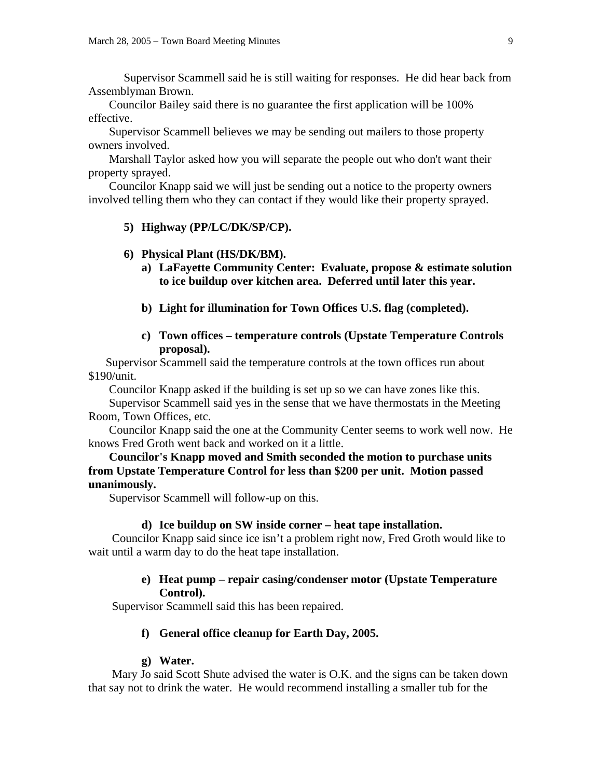Supervisor Scammell said he is still waiting for responses. He did hear back from Assemblyman Brown.

 Councilor Bailey said there is no guarantee the first application will be 100% effective.

 Supervisor Scammell believes we may be sending out mailers to those property owners involved.

 Marshall Taylor asked how you will separate the people out who don't want their property sprayed.

 Councilor Knapp said we will just be sending out a notice to the property owners involved telling them who they can contact if they would like their property sprayed.

# **5) Highway (PP/LC/DK/SP/CP).**

#### **6) Physical Plant (HS/DK/BM).**

- **a) LaFayette Community Center: Evaluate, propose & estimate solution to ice buildup over kitchen area. Deferred until later this year.**
- **b) Light for illumination for Town Offices U.S. flag (completed).**
- **c) Town offices temperature controls (Upstate Temperature Controls proposal).**

 Supervisor Scammell said the temperature controls at the town offices run about \$190/unit.

Councilor Knapp asked if the building is set up so we can have zones like this.

 Supervisor Scammell said yes in the sense that we have thermostats in the Meeting Room, Town Offices, etc.

 Councilor Knapp said the one at the Community Center seems to work well now. He knows Fred Groth went back and worked on it a little.

 **Councilor's Knapp moved and Smith seconded the motion to purchase units from Upstate Temperature Control for less than \$200 per unit. Motion passed unanimously.** 

Supervisor Scammell will follow-up on this.

#### **d) Ice buildup on SW inside corner – heat tape installation.**

 Councilor Knapp said since ice isn't a problem right now, Fred Groth would like to wait until a warm day to do the heat tape installation.

### **e) Heat pump – repair casing/condenser motor (Upstate Temperature Control).**

Supervisor Scammell said this has been repaired.

### **f) General office cleanup for Earth Day, 2005.**

#### **g) Water.**

 Mary Jo said Scott Shute advised the water is O.K. and the signs can be taken down that say not to drink the water. He would recommend installing a smaller tub for the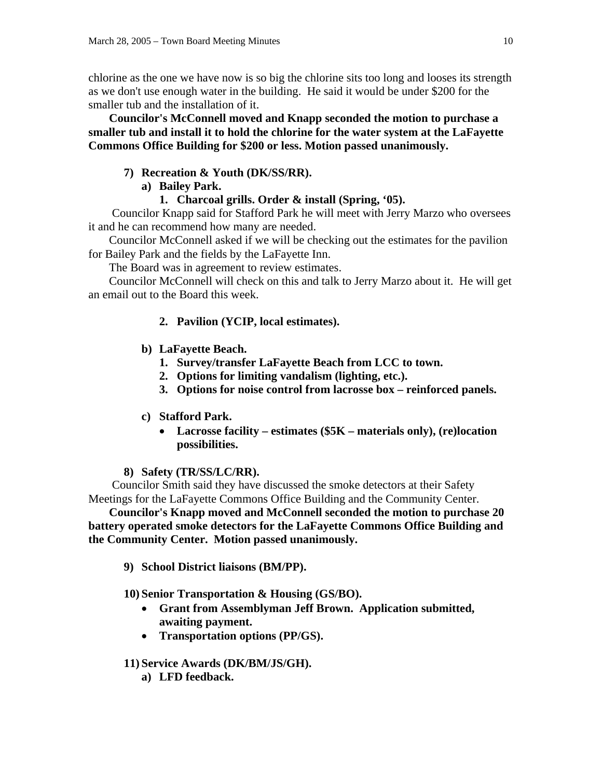chlorine as the one we have now is so big the chlorine sits too long and looses its strength as we don't use enough water in the building. He said it would be under \$200 for the smaller tub and the installation of it.

 **Councilor's McConnell moved and Knapp seconded the motion to purchase a smaller tub and install it to hold the chlorine for the water system at the LaFayette Commons Office Building for \$200 or less. Motion passed unanimously.** 

# **7) Recreation & Youth (DK/SS/RR).**

# **a) Bailey Park.**

**1. Charcoal grills. Order & install (Spring, '05).** 

 Councilor Knapp said for Stafford Park he will meet with Jerry Marzo who oversees it and he can recommend how many are needed.

 Councilor McConnell asked if we will be checking out the estimates for the pavilion for Bailey Park and the fields by the LaFayette Inn.

The Board was in agreement to review estimates.

 Councilor McConnell will check on this and talk to Jerry Marzo about it. He will get an email out to the Board this week.

# **2. Pavilion (YCIP, local estimates).**

- **b) LaFayette Beach.** 
	- **1. Survey/transfer LaFayette Beach from LCC to town.**
	- **2. Options for limiting vandalism (lighting, etc.).**
	- **3. Options for noise control from lacrosse box reinforced panels.**

# **c) Stafford Park.**

• **Lacrosse facility – estimates (\$5K – materials only), (re)location possibilities.** 

# **8) Safety (TR/SS/LC/RR).**

 Councilor Smith said they have discussed the smoke detectors at their Safety Meetings for the LaFayette Commons Office Building and the Community Center.

 **Councilor's Knapp moved and McConnell seconded the motion to purchase 20 battery operated smoke detectors for the LaFayette Commons Office Building and the Community Center. Motion passed unanimously.** 

**9) School District liaisons (BM/PP).** 

# **10) Senior Transportation & Housing (GS/BO).**

- **Grant from Assemblyman Jeff Brown. Application submitted, awaiting payment.**
- **Transportation options (PP/GS).**

# **11) Service Awards (DK/BM/JS/GH).**

**a) LFD feedback.**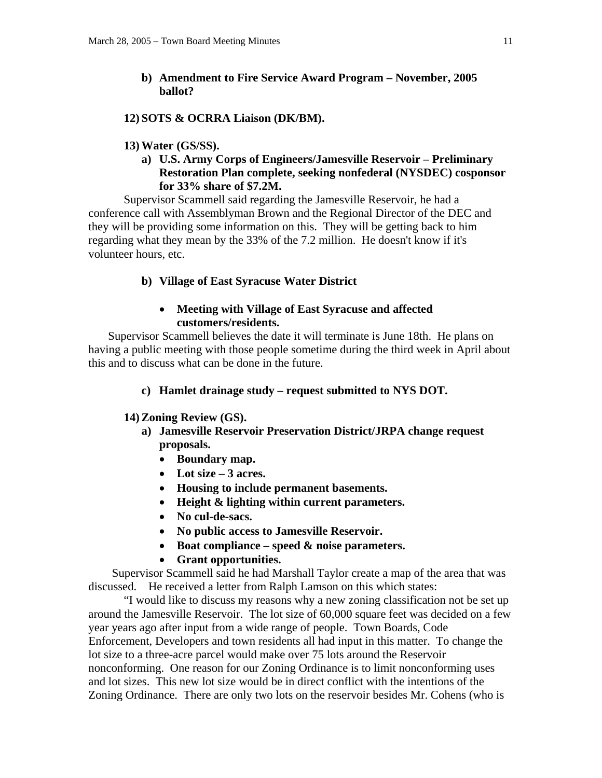**b) Amendment to Fire Service Award Program – November, 2005 ballot?** 

### **12) SOTS & OCRRA Liaison (DK/BM).**

### **13) Water (GS/SS).**

**a) U.S. Army Corps of Engineers/Jamesville Reservoir – Preliminary Restoration Plan complete, seeking nonfederal (NYSDEC) cosponsor for 33% share of \$7.2M.** 

 Supervisor Scammell said regarding the Jamesville Reservoir, he had a conference call with Assemblyman Brown and the Regional Director of the DEC and they will be providing some information on this. They will be getting back to him regarding what they mean by the 33% of the 7.2 million. He doesn't know if it's volunteer hours, etc.

### **b) Village of East Syracuse Water District**

## • **Meeting with Village of East Syracuse and affected customers/residents.**

 Supervisor Scammell believes the date it will terminate is June 18th. He plans on having a public meeting with those people sometime during the third week in April about this and to discuss what can be done in the future.

### **c) Hamlet drainage study – request submitted to NYS DOT.**

### **14) Zoning Review (GS).**

- **a) Jamesville Reservoir Preservation District/JRPA change request proposals.** 
	- **Boundary map.**
	- **Lot size 3 acres.**
	- **Housing to include permanent basements.**
	- **Height & lighting within current parameters.**
	- **No cul-de-sacs.**
	- **No public access to Jamesville Reservoir.**
	- **Boat compliance speed & noise parameters.**
	- **Grant opportunities.**

Supervisor Scammell said he had Marshall Taylor create a map of the area that was discussed. He received a letter from Ralph Lamson on this which states:

 "I would like to discuss my reasons why a new zoning classification not be set up around the Jamesville Reservoir. The lot size of 60,000 square feet was decided on a few year years ago after input from a wide range of people. Town Boards, Code Enforcement, Developers and town residents all had input in this matter. To change the lot size to a three-acre parcel would make over 75 lots around the Reservoir nonconforming. One reason for our Zoning Ordinance is to limit nonconforming uses and lot sizes. This new lot size would be in direct conflict with the intentions of the Zoning Ordinance. There are only two lots on the reservoir besides Mr. Cohens (who is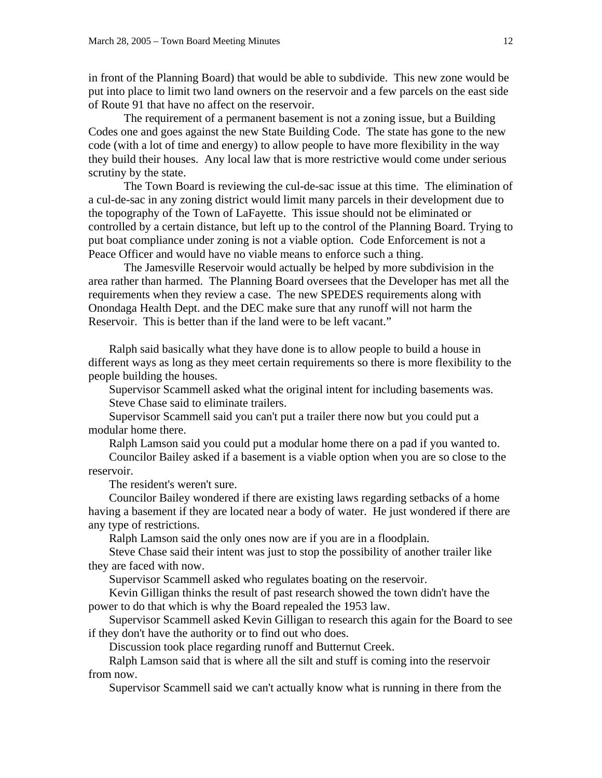in front of the Planning Board) that would be able to subdivide. This new zone would be put into place to limit two land owners on the reservoir and a few parcels on the east side of Route 91 that have no affect on the reservoir.

 The requirement of a permanent basement is not a zoning issue, but a Building Codes one and goes against the new State Building Code. The state has gone to the new code (with a lot of time and energy) to allow people to have more flexibility in the way they build their houses. Any local law that is more restrictive would come under serious scrutiny by the state.

 The Town Board is reviewing the cul-de-sac issue at this time. The elimination of a cul-de-sac in any zoning district would limit many parcels in their development due to the topography of the Town of LaFayette. This issue should not be eliminated or controlled by a certain distance, but left up to the control of the Planning Board. Trying to put boat compliance under zoning is not a viable option. Code Enforcement is not a Peace Officer and would have no viable means to enforce such a thing.

 The Jamesville Reservoir would actually be helped by more subdivision in the area rather than harmed. The Planning Board oversees that the Developer has met all the requirements when they review a case. The new SPEDES requirements along with Onondaga Health Dept. and the DEC make sure that any runoff will not harm the Reservoir. This is better than if the land were to be left vacant."

 Ralph said basically what they have done is to allow people to build a house in different ways as long as they meet certain requirements so there is more flexibility to the people building the houses.

 Supervisor Scammell asked what the original intent for including basements was. Steve Chase said to eliminate trailers.

 Supervisor Scammell said you can't put a trailer there now but you could put a modular home there.

Ralph Lamson said you could put a modular home there on a pad if you wanted to.

 Councilor Bailey asked if a basement is a viable option when you are so close to the reservoir.

The resident's weren't sure.

 Councilor Bailey wondered if there are existing laws regarding setbacks of a home having a basement if they are located near a body of water. He just wondered if there are any type of restrictions.

Ralph Lamson said the only ones now are if you are in a floodplain.

 Steve Chase said their intent was just to stop the possibility of another trailer like they are faced with now.

Supervisor Scammell asked who regulates boating on the reservoir.

 Kevin Gilligan thinks the result of past research showed the town didn't have the power to do that which is why the Board repealed the 1953 law.

 Supervisor Scammell asked Kevin Gilligan to research this again for the Board to see if they don't have the authority or to find out who does.

Discussion took place regarding runoff and Butternut Creek.

 Ralph Lamson said that is where all the silt and stuff is coming into the reservoir from now.

Supervisor Scammell said we can't actually know what is running in there from the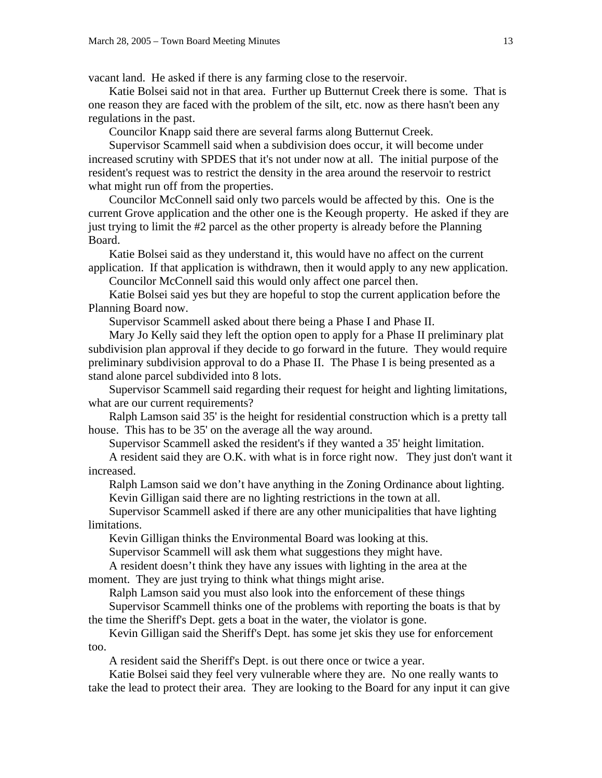vacant land. He asked if there is any farming close to the reservoir.

 Katie Bolsei said not in that area. Further up Butternut Creek there is some. That is one reason they are faced with the problem of the silt, etc. now as there hasn't been any regulations in the past.

Councilor Knapp said there are several farms along Butternut Creek.

 Supervisor Scammell said when a subdivision does occur, it will become under increased scrutiny with SPDES that it's not under now at all. The initial purpose of the resident's request was to restrict the density in the area around the reservoir to restrict what might run off from the properties.

 Councilor McConnell said only two parcels would be affected by this. One is the current Grove application and the other one is the Keough property. He asked if they are just trying to limit the #2 parcel as the other property is already before the Planning Board.

 Katie Bolsei said as they understand it, this would have no affect on the current application. If that application is withdrawn, then it would apply to any new application.

Councilor McConnell said this would only affect one parcel then.

 Katie Bolsei said yes but they are hopeful to stop the current application before the Planning Board now.

Supervisor Scammell asked about there being a Phase I and Phase II.

 Mary Jo Kelly said they left the option open to apply for a Phase II preliminary plat subdivision plan approval if they decide to go forward in the future. They would require preliminary subdivision approval to do a Phase II. The Phase I is being presented as a stand alone parcel subdivided into 8 lots.

 Supervisor Scammell said regarding their request for height and lighting limitations, what are our current requirements?

 Ralph Lamson said 35' is the height for residential construction which is a pretty tall house. This has to be 35' on the average all the way around.

Supervisor Scammell asked the resident's if they wanted a 35' height limitation.

 A resident said they are O.K. with what is in force right now. They just don't want it increased.

 Ralph Lamson said we don't have anything in the Zoning Ordinance about lighting. Kevin Gilligan said there are no lighting restrictions in the town at all.

 Supervisor Scammell asked if there are any other municipalities that have lighting limitations.

Kevin Gilligan thinks the Environmental Board was looking at this.

Supervisor Scammell will ask them what suggestions they might have.

 A resident doesn't think they have any issues with lighting in the area at the moment. They are just trying to think what things might arise.

 Ralph Lamson said you must also look into the enforcement of these things Supervisor Scammell thinks one of the problems with reporting the boats is that by the time the Sheriff's Dept. gets a boat in the water, the violator is gone.

 Kevin Gilligan said the Sheriff's Dept. has some jet skis they use for enforcement too.

A resident said the Sheriff's Dept. is out there once or twice a year.

 Katie Bolsei said they feel very vulnerable where they are. No one really wants to take the lead to protect their area. They are looking to the Board for any input it can give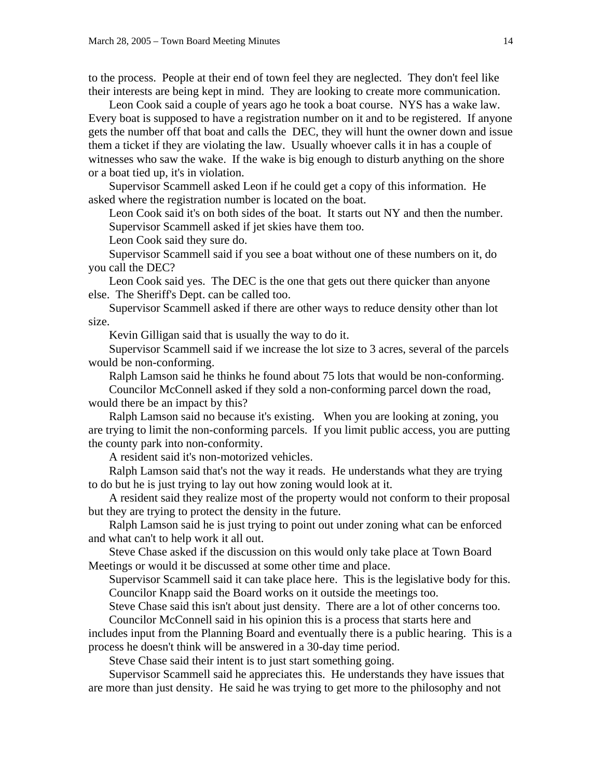to the process. People at their end of town feel they are neglected. They don't feel like their interests are being kept in mind. They are looking to create more communication.

 Leon Cook said a couple of years ago he took a boat course. NYS has a wake law. Every boat is supposed to have a registration number on it and to be registered. If anyone gets the number off that boat and calls the DEC, they will hunt the owner down and issue them a ticket if they are violating the law. Usually whoever calls it in has a couple of witnesses who saw the wake. If the wake is big enough to disturb anything on the shore or a boat tied up, it's in violation.

 Supervisor Scammell asked Leon if he could get a copy of this information. He asked where the registration number is located on the boat.

 Leon Cook said it's on both sides of the boat. It starts out NY and then the number. Supervisor Scammell asked if jet skies have them too.

Leon Cook said they sure do.

 Supervisor Scammell said if you see a boat without one of these numbers on it, do you call the DEC?

 Leon Cook said yes. The DEC is the one that gets out there quicker than anyone else. The Sheriff's Dept. can be called too.

 Supervisor Scammell asked if there are other ways to reduce density other than lot size.

Kevin Gilligan said that is usually the way to do it.

 Supervisor Scammell said if we increase the lot size to 3 acres, several of the parcels would be non-conforming.

Ralph Lamson said he thinks he found about 75 lots that would be non-conforming.

 Councilor McConnell asked if they sold a non-conforming parcel down the road, would there be an impact by this?

 Ralph Lamson said no because it's existing. When you are looking at zoning, you are trying to limit the non-conforming parcels. If you limit public access, you are putting the county park into non-conformity.

A resident said it's non-motorized vehicles.

 Ralph Lamson said that's not the way it reads. He understands what they are trying to do but he is just trying to lay out how zoning would look at it.

 A resident said they realize most of the property would not conform to their proposal but they are trying to protect the density in the future.

 Ralph Lamson said he is just trying to point out under zoning what can be enforced and what can't to help work it all out.

 Steve Chase asked if the discussion on this would only take place at Town Board Meetings or would it be discussed at some other time and place.

 Supervisor Scammell said it can take place here. This is the legislative body for this. Councilor Knapp said the Board works on it outside the meetings too.

Steve Chase said this isn't about just density. There are a lot of other concerns too.

 Councilor McConnell said in his opinion this is a process that starts here and includes input from the Planning Board and eventually there is a public hearing. This is a

process he doesn't think will be answered in a 30-day time period. Steve Chase said their intent is to just start something going.

 Supervisor Scammell said he appreciates this. He understands they have issues that are more than just density. He said he was trying to get more to the philosophy and not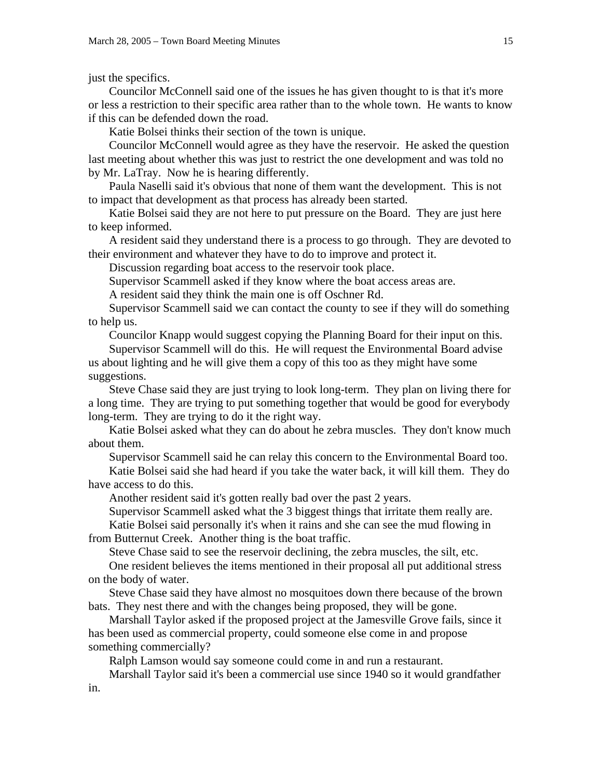just the specifics.

 Councilor McConnell said one of the issues he has given thought to is that it's more or less a restriction to their specific area rather than to the whole town. He wants to know if this can be defended down the road.

Katie Bolsei thinks their section of the town is unique.

 Councilor McConnell would agree as they have the reservoir. He asked the question last meeting about whether this was just to restrict the one development and was told no by Mr. LaTray. Now he is hearing differently.

 Paula Naselli said it's obvious that none of them want the development. This is not to impact that development as that process has already been started.

 Katie Bolsei said they are not here to put pressure on the Board. They are just here to keep informed.

 A resident said they understand there is a process to go through. They are devoted to their environment and whatever they have to do to improve and protect it.

Discussion regarding boat access to the reservoir took place.

Supervisor Scammell asked if they know where the boat access areas are.

A resident said they think the main one is off Oschner Rd.

 Supervisor Scammell said we can contact the county to see if they will do something to help us.

Councilor Knapp would suggest copying the Planning Board for their input on this.

 Supervisor Scammell will do this. He will request the Environmental Board advise us about lighting and he will give them a copy of this too as they might have some suggestions.

 Steve Chase said they are just trying to look long-term. They plan on living there for a long time. They are trying to put something together that would be good for everybody long-term. They are trying to do it the right way.

 Katie Bolsei asked what they can do about he zebra muscles. They don't know much about them.

Supervisor Scammell said he can relay this concern to the Environmental Board too.

 Katie Bolsei said she had heard if you take the water back, it will kill them. They do have access to do this.

Another resident said it's gotten really bad over the past 2 years.

Supervisor Scammell asked what the 3 biggest things that irritate them really are.

 Katie Bolsei said personally it's when it rains and she can see the mud flowing in from Butternut Creek. Another thing is the boat traffic.

Steve Chase said to see the reservoir declining, the zebra muscles, the silt, etc.

 One resident believes the items mentioned in their proposal all put additional stress on the body of water.

 Steve Chase said they have almost no mosquitoes down there because of the brown bats. They nest there and with the changes being proposed, they will be gone.

 Marshall Taylor asked if the proposed project at the Jamesville Grove fails, since it has been used as commercial property, could someone else come in and propose something commercially?

Ralph Lamson would say someone could come in and run a restaurant.

 Marshall Taylor said it's been a commercial use since 1940 so it would grandfather in.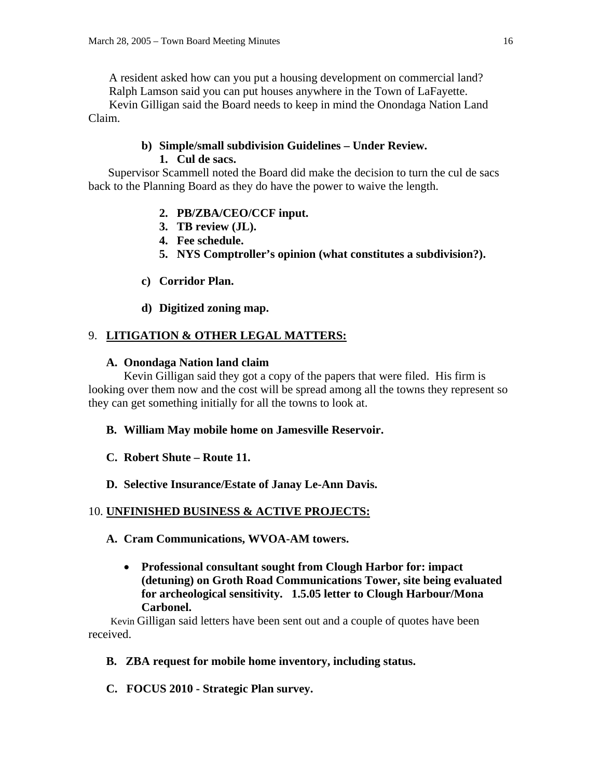A resident asked how can you put a housing development on commercial land? Ralph Lamson said you can put houses anywhere in the Town of LaFayette.

 Kevin Gilligan said the Board needs to keep in mind the Onondaga Nation Land Claim.

### **b) Simple/small subdivision Guidelines – Under Review. 1. Cul de sacs.**

 Supervisor Scammell noted the Board did make the decision to turn the cul de sacs back to the Planning Board as they do have the power to waive the length.

# **2. PB/ZBA/CEO/CCF input.**

- **3. TB review (JL).**
- **4. Fee schedule.**
- **5. NYS Comptroller's opinion (what constitutes a subdivision?).**
- **c) Corridor Plan.**
- **d) Digitized zoning map.**

# 9. **LITIGATION & OTHER LEGAL MATTERS:**

# **A. Onondaga Nation land claim**

 Kevin Gilligan said they got a copy of the papers that were filed. His firm is looking over them now and the cost will be spread among all the towns they represent so they can get something initially for all the towns to look at.

# **B. William May mobile home on Jamesville Reservoir.**

- **C. Robert Shute Route 11.**
- **D. Selective Insurance/Estate of Janay Le-Ann Davis.**

# 10. **UNFINISHED BUSINESS & ACTIVE PROJECTS:**

- **A. Cram Communications, WVOA-AM towers.** 
	- **Professional consultant sought from Clough Harbor for: impact (detuning) on Groth Road Communications Tower, site being evaluated for archeological sensitivity. 1.5.05 letter to Clough Harbour/Mona Carbonel.**

 Kevin Gilligan said letters have been sent out and a couple of quotes have been received.

# **B. ZBA request for mobile home inventory, including status.**

**C. FOCUS 2010 - Strategic Plan survey.**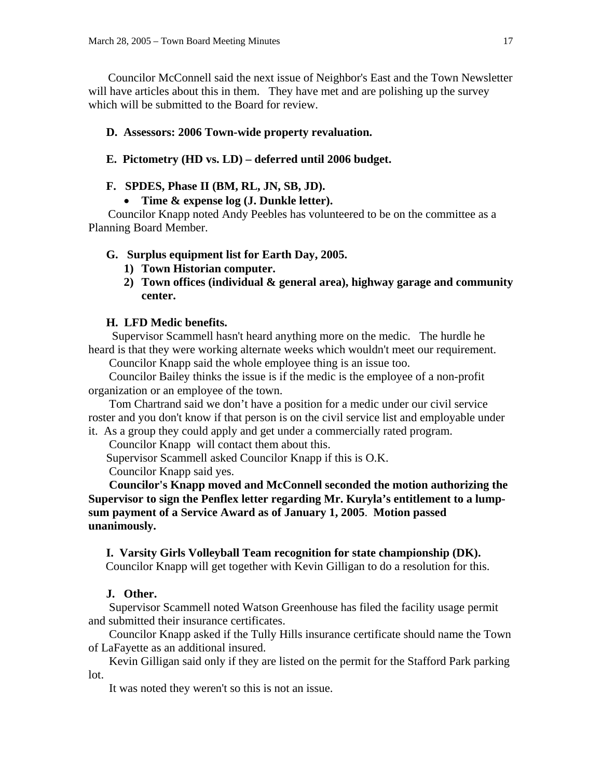Councilor McConnell said the next issue of Neighbor's East and the Town Newsletter will have articles about this in them. They have met and are polishing up the survey which will be submitted to the Board for review.

### **D. Assessors: 2006 Town-wide property revaluation.**

### **E. Pictometry (HD vs. LD) – deferred until 2006 budget.**

### **F. SPDES, Phase II (BM, RL, JN, SB, JD).**

• **Time & expense log (J. Dunkle letter).** 

 Councilor Knapp noted Andy Peebles has volunteered to be on the committee as a Planning Board Member.

#### **G. Surplus equipment list for Earth Day, 2005.**

- **1) Town Historian computer.**
- **2) Town offices (individual & general area), highway garage and community center.**

### **H. LFD Medic benefits.**

Supervisor Scammell hasn't heard anything more on the medic. The hurdle he heard is that they were working alternate weeks which wouldn't meet our requirement.

Councilor Knapp said the whole employee thing is an issue too.

 Councilor Bailey thinks the issue is if the medic is the employee of a non-profit organization or an employee of the town.

 Tom Chartrand said we don't have a position for a medic under our civil service roster and you don't know if that person is on the civil service list and employable under it. As a group they could apply and get under a commercially rated program.

Councilor Knapp will contact them about this.

Supervisor Scammell asked Councilor Knapp if this is O.K.

Councilor Knapp said yes.

 **Councilor's Knapp moved and McConnell seconded the motion authorizing the Supervisor to sign the Penflex letter regarding Mr. Kuryla's entitlement to a lumpsum payment of a Service Award as of January 1, 2005**. **Motion passed unanimously.** 

### **I. Varsity Girls Volleyball Team recognition for state championship (DK).**

Councilor Knapp will get together with Kevin Gilligan to do a resolution for this.

### **J. Other.**

 Supervisor Scammell noted Watson Greenhouse has filed the facility usage permit and submitted their insurance certificates.

 Councilor Knapp asked if the Tully Hills insurance certificate should name the Town of LaFayette as an additional insured.

 Kevin Gilligan said only if they are listed on the permit for the Stafford Park parking lot.

It was noted they weren't so this is not an issue.